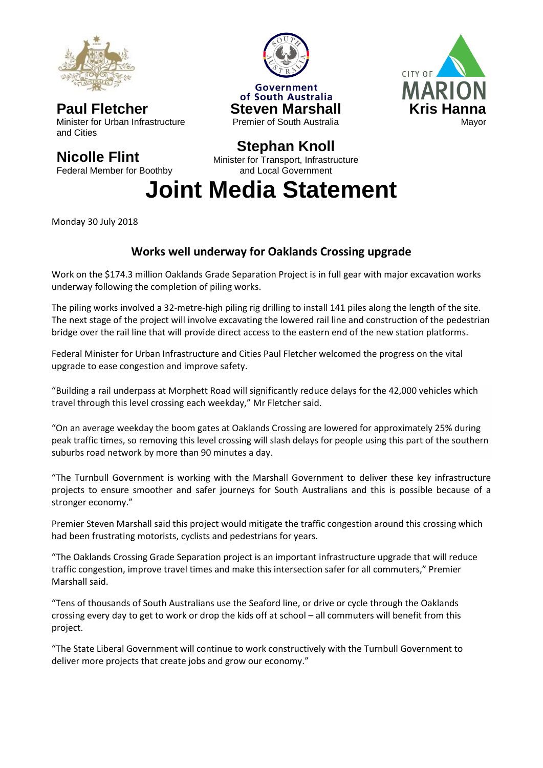

**Paul Fletcher** Minister for Urban Infrastructure and Cities

## **Nicolle Flint**

Federal Member for Boothby





## **Stephan Knoll**

Minister for Transport, Infrastructure and Local Government

**Joint Media Statement**

Monday 30 July 2018

## **Works well underway for Oaklands Crossing upgrade**

Work on the \$174.3 million Oaklands Grade Separation Project is in full gear with major excavation works underway following the completion of piling works.

The piling works involved a 32-metre-high piling rig drilling to install 141 piles along the length of the site. The next stage of the project will involve excavating the lowered rail line and construction of the pedestrian bridge over the rail line that will provide direct access to the eastern end of the new station platforms.

Federal Minister for Urban Infrastructure and Cities Paul Fletcher welcomed the progress on the vital upgrade to ease congestion and improve safety.

"Building a rail underpass at Morphett Road will significantly reduce delays for the 42,000 vehicles which travel through this level crossing each weekday," Mr Fletcher said.

"On an average weekday the boom gates at Oaklands Crossing are lowered for approximately 25% during peak traffic times, so removing this level crossing will slash delays for people using this part of the southern suburbs road network by more than 90 minutes a day.

"The Turnbull Government is working with the Marshall Government to deliver these key infrastructure projects to ensure smoother and safer journeys for South Australians and this is possible because of a stronger economy."

Premier Steven Marshall said this project would mitigate the traffic congestion around this crossing which had been frustrating motorists, cyclists and pedestrians for years.

"The Oaklands Crossing Grade Separation project is an important infrastructure upgrade that will reduce traffic congestion, improve travel times and make this intersection safer for all commuters," Premier Marshall said.

"Tens of thousands of South Australians use the Seaford line, or drive or cycle through the Oaklands crossing every day to get to work or drop the kids off at school – all commuters will benefit from this project.

"The State Liberal Government will continue to work constructively with the Turnbull Government to deliver more projects that create jobs and grow our economy."